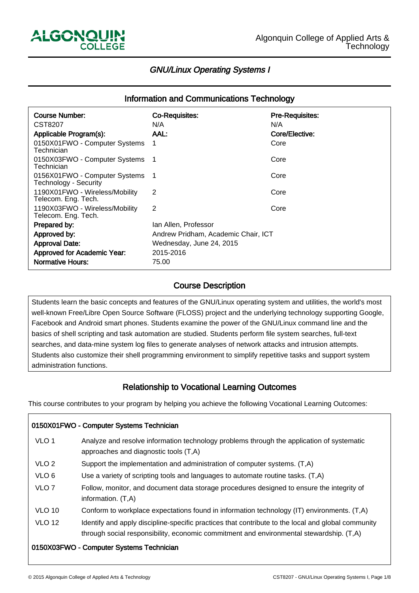-

İ

ـا<br>ا

# GNU/Linux Operating Systems I

| <b>Information and Communications Technology</b>       |                                     |                        |  |  |  |  |
|--------------------------------------------------------|-------------------------------------|------------------------|--|--|--|--|
| <b>Course Number:</b>                                  | <b>Co-Requisites:</b>               | <b>Pre-Requisites:</b> |  |  |  |  |
| CST8207                                                | N/A                                 | N/A                    |  |  |  |  |
| Applicable Program(s):                                 | AAL:                                | Core/Elective:         |  |  |  |  |
| 0150X01FWO - Computer Systems<br>Technician            | 1                                   | Core                   |  |  |  |  |
| 0150X03FWO - Computer Systems<br>Technician            |                                     | Core                   |  |  |  |  |
| 0156X01FWO - Computer Systems<br>Technology - Security |                                     | Core                   |  |  |  |  |
| 1190X01FWO - Wireless/Mobility<br>Telecom. Eng. Tech.  | 2                                   | Core                   |  |  |  |  |
| 1190X03FWO - Wireless/Mobility<br>Telecom. Eng. Tech.  | 2                                   | Core                   |  |  |  |  |
| Prepared by:                                           | lan Allen, Professor                |                        |  |  |  |  |
| Approved by:                                           | Andrew Pridham, Academic Chair, ICT |                        |  |  |  |  |
| <b>Approval Date:</b>                                  | Wednesday, June 24, 2015            |                        |  |  |  |  |
| Approved for Academic Year:                            | 2015-2016                           |                        |  |  |  |  |
| <b>Normative Hours:</b>                                | 75.00                               |                        |  |  |  |  |

#### Course Description ľ

Students learn the basic concepts and features of the GNU/Linux operating system and utilities, the world's most well-known Free/Libre Open Source Software (FLOSS) project and the underlying technology supporting Google, Facebook and Android smart phones. Students examine the power of the GNU/Linux command line and the basics of shell scripting and task automation are studied. Students perform file system searches, full-text searches, and data-mine system log files to generate analyses of network attacks and intrusion attempts. Students also customize their shell programming environment to simplify repetitive tasks and support system administration functions.

#### Relationship to Vocational Learning Outcomes Ï

This course contributes to your program by helping you achieve the following Vocational Learning Outcomes:

| 0150X01FWO - Computer Systems Technician |                                                                                                                                                                                               |  |  |  |  |
|------------------------------------------|-----------------------------------------------------------------------------------------------------------------------------------------------------------------------------------------------|--|--|--|--|
| VLO <sub>1</sub>                         | Analyze and resolve information technology problems through the application of systematic<br>approaches and diagnostic tools (T,A)                                                            |  |  |  |  |
| VLO <sub>2</sub>                         | Support the implementation and administration of computer systems. (T,A)                                                                                                                      |  |  |  |  |
| VLO <sub>6</sub>                         | Use a variety of scripting tools and languages to automate routine tasks. (T,A)                                                                                                               |  |  |  |  |
| VLO <sub>7</sub>                         | Follow, monitor, and document data storage procedures designed to ensure the integrity of<br>information. (T,A)                                                                               |  |  |  |  |
| <b>VLO 10</b>                            | Conform to workplace expectations found in information technology (IT) environments. (T,A)                                                                                                    |  |  |  |  |
| <b>VLO 12</b>                            | Identify and apply discipline-specific practices that contribute to the local and global community<br>through social responsibility, economic commitment and environmental stewardship. (T,A) |  |  |  |  |
| 0150X03FWO - Computer Systems Technician |                                                                                                                                                                                               |  |  |  |  |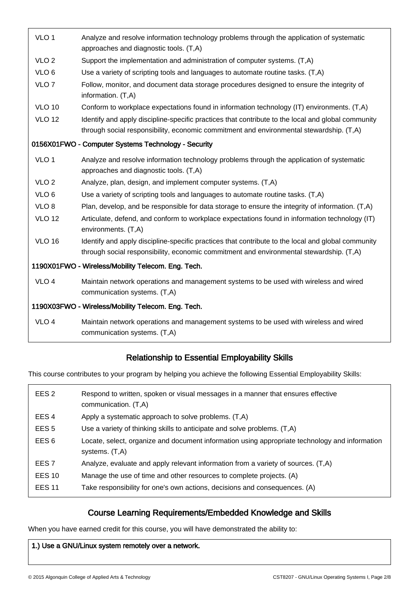| VLO <sub>1</sub>                                    | Analyze and resolve information technology problems through the application of systematic<br>approaches and diagnostic tools. (T,A)                                                           |  |  |  |
|-----------------------------------------------------|-----------------------------------------------------------------------------------------------------------------------------------------------------------------------------------------------|--|--|--|
| VLO <sub>2</sub>                                    | Support the implementation and administration of computer systems. (T,A)                                                                                                                      |  |  |  |
| VLO <sub>6</sub>                                    | Use a variety of scripting tools and languages to automate routine tasks. (T,A)                                                                                                               |  |  |  |
| VLO <sub>7</sub>                                    | Follow, monitor, and document data storage procedures designed to ensure the integrity of<br>information. (T,A)                                                                               |  |  |  |
| <b>VLO 10</b>                                       | Conform to workplace expectations found in information technology (IT) environments. (T,A)                                                                                                    |  |  |  |
| <b>VLO 12</b>                                       | Identify and apply discipline-specific practices that contribute to the local and global community<br>through social responsibility, economic commitment and environmental stewardship. (T,A) |  |  |  |
| 0156X01FWO - Computer Systems Technology - Security |                                                                                                                                                                                               |  |  |  |
| VLO <sub>1</sub>                                    | Analyze and resolve information technology problems through the application of systematic<br>approaches and diagnostic tools. (T,A)                                                           |  |  |  |
| VLO <sub>2</sub>                                    | Analyze, plan, design, and implement computer systems. (T,A)                                                                                                                                  |  |  |  |
| VLO <sub>6</sub>                                    | Use a variety of scripting tools and languages to automate routine tasks. (T,A)                                                                                                               |  |  |  |
| VLO <sub>8</sub>                                    | Plan, develop, and be responsible for data storage to ensure the integrity of information. (T,A)                                                                                              |  |  |  |
| <b>VLO 12</b>                                       | Articulate, defend, and conform to workplace expectations found in information technology (IT)<br>environments. (T,A)                                                                         |  |  |  |
| <b>VLO 16</b>                                       | Identify and apply discipline-specific practices that contribute to the local and global community<br>through social responsibility, economic commitment and environmental stewardship. (T,A) |  |  |  |
| 1190X01FWO - Wireless/Mobility Telecom. Eng. Tech.  |                                                                                                                                                                                               |  |  |  |
| VLO <sub>4</sub>                                    | Maintain network operations and management systems to be used with wireless and wired<br>communication systems. (T,A)                                                                         |  |  |  |
| 1190X03FWO - Wireless/Mobility Telecom. Eng. Tech.  |                                                                                                                                                                                               |  |  |  |
| VLO <sub>4</sub>                                    | Maintain network operations and management systems to be used with wireless and wired<br>communication systems. (T,A)                                                                         |  |  |  |

#### Relationship to Essential Employability Skills ֚

This course contributes to your program by helping you achieve the following Essential Employability Skills:

| EES <sub>2</sub> | Respond to written, spoken or visual messages in a manner that ensures effective<br>communication. (T,A)           |
|------------------|--------------------------------------------------------------------------------------------------------------------|
| EES <sub>4</sub> | Apply a systematic approach to solve problems. (T,A)                                                               |
| EES <sub>5</sub> | Use a variety of thinking skills to anticipate and solve problems. (T,A)                                           |
| EES <sub>6</sub> | Locate, select, organize and document information using appropriate technology and information<br>systems. $(T,A)$ |
| EES <sub>7</sub> | Analyze, evaluate and apply relevant information from a variety of sources. (T,A)                                  |
| <b>EES 10</b>    | Manage the use of time and other resources to complete projects. (A)                                               |
| <b>EES 11</b>    | Take responsibility for one's own actions, decisions and consequences. (A)                                         |

#### Course Learning Requirements/Embedded Knowledge and Skills ֞

When you have earned credit for this course, you will have demonstrated the ability to:

# 1.) Use a GNU/Linux system remotely over a network.

İ

ـا<br>ا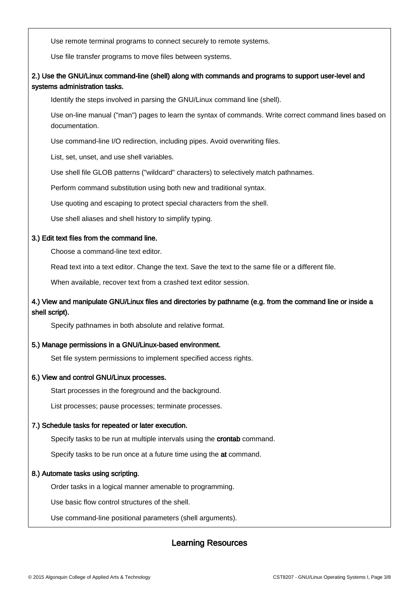Use remote terminal programs to connect securely to remote systems.

Use file transfer programs to move files between systems.

# 2.) Use the GNU/Linux command-line (shell) along with commands and programs to support user-level and systems administration tasks.

Identify the steps involved in parsing the GNU/Linux command line (shell).

Use on-line manual ("man") pages to learn the syntax of commands. Write correct command lines based on documentation.

Use command-line I/O redirection, including pipes. Avoid overwriting files.

List, set, unset, and use shell variables.

Use shell file GLOB patterns ("wildcard" characters) to selectively match pathnames.

Perform command substitution using both new and traditional syntax.

Use quoting and escaping to protect special characters from the shell.

Use shell aliases and shell history to simplify typing.

#### 3.) Edit text files from the command line.

Choose a command-line text editor.

Read text into a text editor. Change the text. Save the text to the same file or a different file.

When available, recover text from a crashed text editor session.

# 4.) View and manipulate GNU/Linux files and directories by pathname (e.g. from the command line or inside a shell script).

Specify pathnames in both absolute and relative format.

### 5.) Manage permissions in a GNU/Linux-based environment.

Set file system permissions to implement specified access rights.

### 6.) View and control GNU/Linux processes.

Start processes in the foreground and the background.

List processes; pause processes; terminate processes.

### 7.) Schedule tasks for repeated or later execution.

Specify tasks to be run at multiple intervals using the crontab command.

Specify tasks to be run once at a future time using the at command.

### 8.) Automate tasks using scripting.

ـا<br>ا

Order tasks in a logical manner amenable to programming.

Use basic flow control structures of the shell.

Use command-line positional parameters (shell arguments).

#### Learning Resources I,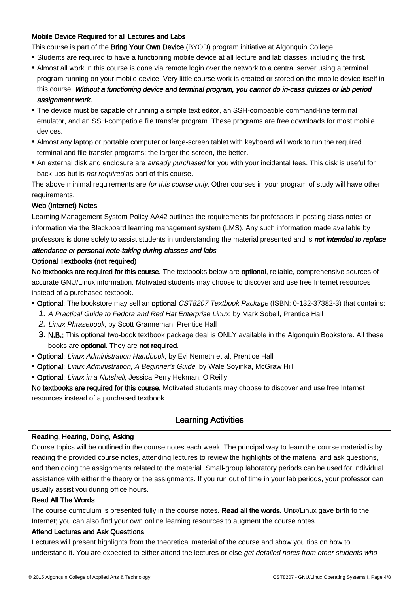## Mobile Device Required for all Lectures and Labs

- This course is part of the Bring Your Own Device (BYOD) program initiative at Algonquin College.
- Students are required to have a functioning mobile device at all lecture and lab classes, including the first.
- Almost all work in this course is done via remote login over the network to a central server using a terminal program running on your mobile device. Very little course work is created or stored on the mobile device itself in this course. Without a functioning device and terminal program, you cannot do in-cass quizzes or lab period assignment work.
- The device must be capable of running a simple text editor, an SSH-compatible command-line terminal emulator, and an SSH-compatible file transfer program. These programs are free downloads for most mobile devices.
- Almost any laptop or portable computer or large-screen tablet with keyboard will work to run the required terminal and file transfer programs; the larger the screen, the better.
- An external disk and enclosure are already purchased for you with your incidental fees. This disk is useful for back-ups but is not required as part of this course.

The above minimal requirements are for this course only. Other courses in your program of study will have other requirements.

# Web (Internet) Notes

Learning Management System Policy AA42 outlines the requirements for professors in posting class notes or information via the Blackboard learning management system (LMS). Any such information made available by professors is done solely to assist students in understanding the material presented and is not intended to replace

## attendance or personal note-taking during classes and labs.

## Optional Textbooks (not required)

No textbooks are required for this course. The textbooks below are optional, reliable, comprehensive sources of accurate GNU/Linux information. Motivated students may choose to discover and use free Internet resources instead of a purchased textbook.

- **•** Optional: The bookstore may sell an optional CST8207 Textbook Package (ISBN: 0-132-37382-3) that contains:
	- 1. A Practical Guide to Fedora and Red Hat Enterprise Linux, by Mark Sobell, Prentice Hall
	- 2. Linux Phrasebook, by Scott Granneman, Prentice Hall
	- 3. N.B.: This optional two-book textbook package deal is ONLY available in the Algonquin Bookstore. All these books are optional. They are not required.
- **•** Optional: Linux Administration Handbook, by Evi Nemeth et al, Prentice Hall
- **•** Optional: Linux Administration, A Beginner's Guide, by Wale Soyinka, McGraw Hill
- **•** Optional: Linux in a Nutshell, Jessica Perry Hekman, O'Reilly

No textbooks are required for this course. Motivated students may choose to discover and use free Internet resources instead of a purchased textbook.

#### Learning Activities I

## Reading, Hearing, Doing, Asking

Course topics will be outlined in the course notes each week. The principal way to learn the course material is by reading the provided course notes, attending lectures to review the highlights of the material and ask questions, and then doing the assignments related to the material. Small-group laboratory periods can be used for individual assistance with either the theory or the assignments. If you run out of time in your lab periods, your professor can usually assist you during office hours.

### Read All The Words

İ

The course curriculum is presented fully in the course notes. Read all the words. Unix/Linux gave birth to the Internet; you can also find your own online learning resources to augment the course notes.

### Attend Lectures and Ask Questtions

Lectures will present highlights from the theoretical material of the course and show you tips on how to understand it. You are expected to either attend the lectures or else get detailed notes from other students who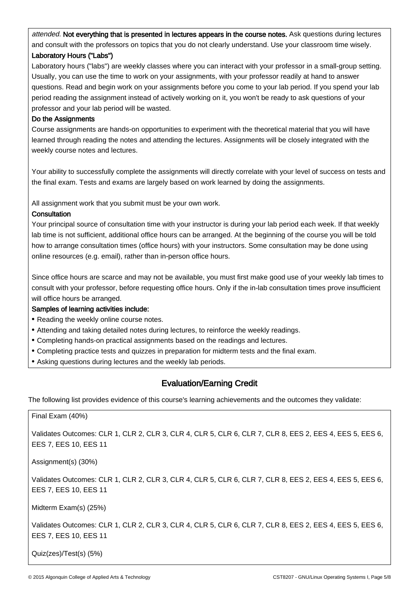attended. Not everything that is presented in lectures appears in the course notes. Ask questions during lectures and consult with the professors on topics that you do not clearly understand. Use your classroom time wisely. Laboratory Hours ("Labs")

Laboratory hours ("labs") are weekly classes where you can interact with your professor in a small-group setting. Usually, you can use the time to work on your assignments, with your professor readily at hand to answer questions. Read and begin work on your assignments before you come to your lab period. If you spend your lab period reading the assignment instead of actively working on it, you won't be ready to ask questions of your professor and your lab period will be wasted.

## Do the Assignments

Course assignments are hands-on opportunities to experiment with the theoretical material that you will have learned through reading the notes and attending the lectures. Assignments will be closely integrated with the weekly course notes and lectures.

Your ability to successfully complete the assignments will directly correlate with your level of success on tests and the final exam. Tests and exams are largely based on work learned by doing the assignments.

All assignment work that you submit must be your own work.

## **Consultation**

ـا<br>ا

Your principal source of consultation time with your instructor is during your lab period each week. If that weekly lab time is not sufficient, additional office hours can be arranged. At the beginning of the course you will be told how to arrange consultation times (office hours) with your instructors. Some consultation may be done using online resources (e.g. email), rather than in-person office hours.

Since office hours are scarce and may not be available, you must first make good use of your weekly lab times to consult with your professor, before requesting office hours. Only if the in-lab consultation times prove insufficient will office hours be arranged.

### Samples of learning activities include:

- Reading the weekly online course notes.
- Attending and taking detailed notes during lectures, to reinforce the weekly readings.
- Completing hands-on practical assignments based on the readings and lectures.
- Completing practice tests and quizzes in preparation for midterm tests and the final exam.
- Asking questions during lectures and the weekly lab periods.

#### Evaluation/Earning Credit Ì

The following list provides evidence of this course's learning achievements and the outcomes they validate:

| Final Exam (40%)                                                                                                                        |
|-----------------------------------------------------------------------------------------------------------------------------------------|
| Validates Outcomes: CLR 1, CLR 2, CLR 3, CLR 4, CLR 5, CLR 6, CLR 7, CLR 8, EES 2, EES 4, EES 5, EES 6,<br><b>EES 7, EES 10, EES 11</b> |
| Assignment(s) (30%)                                                                                                                     |
| Validates Outcomes: CLR 1, CLR 2, CLR 3, CLR 4, CLR 5, CLR 6, CLR 7, CLR 8, EES 2, EES 4, EES 5, EES 6,<br>EES 7, EES 10, EES 11        |
| Midterm Exam(s) (25%)                                                                                                                   |
| Validates Outcomes: CLR 1, CLR 2, CLR 3, CLR 4, CLR 5, CLR 6, CLR 7, CLR 8, EES 2, EES 4, EES 5, EES 6,<br><b>EES 7, EES 10, EES 11</b> |
| Quiz(zes)/Test(s) (5%)                                                                                                                  |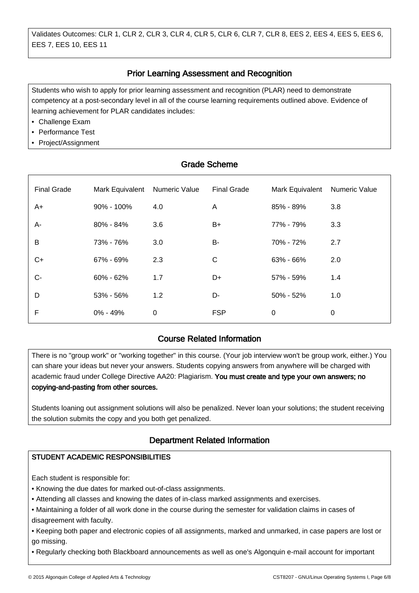#### Prior Learning Assessment and Recognition ֚֚֡֞

Students who wish to apply for prior learning assessment and recognition (PLAR) need to demonstrate competency at a post-secondary level in all of the course learning requirements outlined above. Evidence of learning achievement for PLAR candidates includes:

• Challenge Exam

ـا<br>ا

ـا<br>ا

ـا<br>ا

İ

- Performance Test
- Project/Assignment

| <b>Grade Scheme</b> |                 |               |                    |                 |                      |  |  |  |
|---------------------|-----------------|---------------|--------------------|-----------------|----------------------|--|--|--|
| <b>Final Grade</b>  | Mark Equivalent | Numeric Value | <b>Final Grade</b> | Mark Equivalent | <b>Numeric Value</b> |  |  |  |
| A+                  | $90\% - 100\%$  | 4.0           | A                  | 85% - 89%       | 3.8                  |  |  |  |
| A-                  | 80% - 84%       | 3.6           | $B+$               | 77% - 79%       | 3.3                  |  |  |  |
| B                   | 73% - 76%       | 3.0           | B-                 | 70% - 72%       | 2.7                  |  |  |  |
| $C+$                | 67% - 69%       | 2.3           | $\mathsf{C}$       | 63% - 66%       | 2.0                  |  |  |  |
| $C -$               | 60% - 62%       | 1.7           | D+                 | 57% - 59%       | 1.4                  |  |  |  |
| D                   | 53% - 56%       | 1.2           | D-                 | 50% - 52%       | 1.0                  |  |  |  |
| F                   | 0% - 49%        | 0             | <b>FSP</b>         | 0               | 0                    |  |  |  |

#### Course Related Information Ĭ

There is no "group work" or "working together" in this course. (Your job interview won't be group work, either.) You can share your ideas but never your answers. Students copying answers from anywhere will be charged with academic fraud under College Directive AA20: Plagiarism. You must create and type your own answers; no copying-and-pasting from other sources.

Students loaning out assignment solutions will also be penalized. Never loan your solutions; the student receiving the solution submits the copy and you both get penalized.

#### Department Related Information Ì

# STUDENT ACADEMIC RESPONSIBILITIES

Each student is responsible for:

• Knowing the due dates for marked out-of-class assignments.

• Attending all classes and knowing the dates of in-class marked assignments and exercises.

• Maintaining a folder of all work done in the course during the semester for validation claims in cases of disagreement with faculty.

• Keeping both paper and electronic copies of all assignments, marked and unmarked, in case papers are lost or go missing.

• Regularly checking both Blackboard announcements as well as one's Algonquin e-mail account for important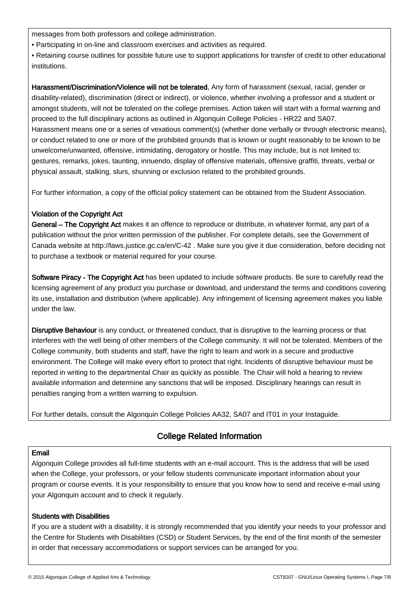messages from both professors and college administration.

• Participating in on-line and classroom exercises and activities as required.

• Retaining course outlines for possible future use to support applications for transfer of credit to other educational institutions.

Harassment/Discrimination/Violence will not be tolerated. Any form of harassment (sexual, racial, gender or disability-related), discrimination (direct or indirect), or violence, whether involving a professor and a student or amongst students, will not be tolerated on the college premises. Action taken will start with a formal warning and proceed to the full disciplinary actions as outlined in Algonquin College Policies - HR22 and SA07. Harassment means one or a series of vexatious comment(s) (whether done verbally or through electronic means), or conduct related to one or more of the prohibited grounds that is known or ought reasonably to be known to be unwelcome/unwanted, offensive, intimidating, derogatory or hostile. This may include, but is not limited to: gestures, remarks, jokes, taunting, innuendo, display of offensive materials, offensive graffiti, threats, verbal or physical assault, stalking, slurs, shunning or exclusion related to the prohibited grounds.

For further information, a copy of the official policy statement can be obtained from the Student Association.

## Violation of the Copyright Act

General – The Copyright Act makes it an offence to reproduce or distribute, in whatever format, any part of a publication without the prior written permission of the publisher. For complete details, see the Government of Canada website at http://laws.justice.gc.ca/en/C-42 . Make sure you give it due consideration, before deciding not to purchase a textbook or material required for your course.

Software Piracy - The Copyright Act has been updated to include software products. Be sure to carefully read the licensing agreement of any product you purchase or download, and understand the terms and conditions covering its use, installation and distribution (where applicable). Any infringement of licensing agreement makes you liable under the law.

Disruptive Behaviour is any conduct, or threatened conduct, that is disruptive to the learning process or that interferes with the well being of other members of the College community. It will not be tolerated. Members of the College community, both students and staff, have the right to learn and work in a secure and productive environment. The College will make every effort to protect that right. Incidents of disruptive behaviour must be reported in writing to the departmental Chair as quickly as possible. The Chair will hold a hearing to review available information and determine any sanctions that will be imposed. Disciplinary hearings can result in penalties ranging from a written warning to expulsion.

For further details, consult the Algonquin College Policies AA32, SA07 and IT01 in your Instaguide.

#### College Related Information Ì

### Email

İ

Algonquin College provides all full-time students with an e-mail account. This is the address that will be used when the College, your professors, or your fellow students communicate important information about your program or course events. It is your responsibility to ensure that you know how to send and receive e-mail using your Algonquin account and to check it regularly.

### Students with Disabilities

If you are a student with a disability, it is strongly recommended that you identify your needs to your professor and the Centre for Students with Disabilities (CSD) or Student Services, by the end of the first month of the semester in order that necessary accommodations or support services can be arranged for you.